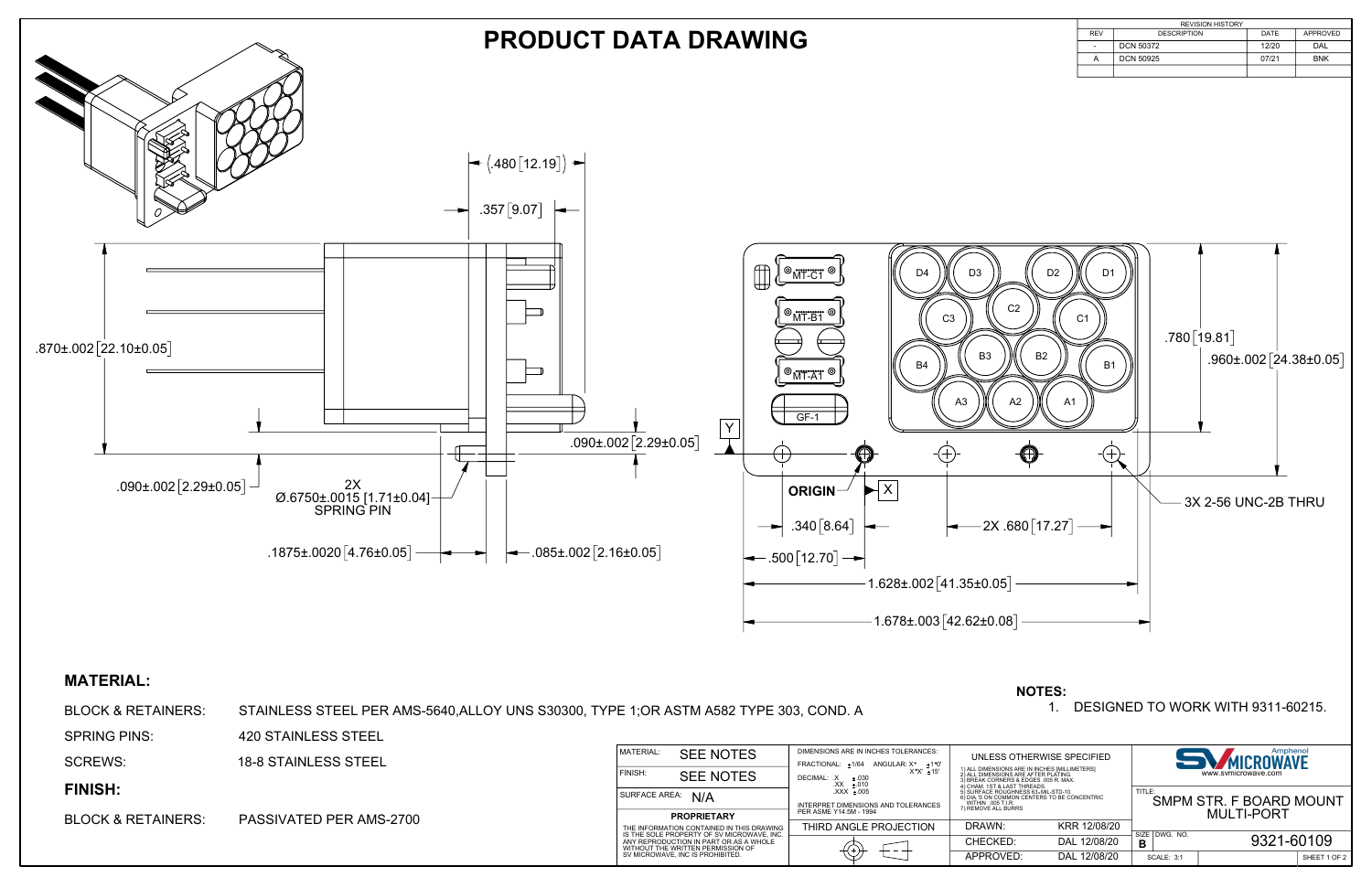| <b>SCREWS:</b>                | <b>18-8 STAINLESS STEEL</b> | MATERIAL:            | <b>SEE NOTES</b>                                                                                                          | DIMENSIONS ARE IN INCHES TOLERANCES:<br>FRACTIONAL: ±1/64 ANGULAR: X° ±1°0' | UNLESS OTHERW                                                                                                                       |
|-------------------------------|-----------------------------|----------------------|---------------------------------------------------------------------------------------------------------------------------|-----------------------------------------------------------------------------|-------------------------------------------------------------------------------------------------------------------------------------|
|                               |                             | FINISH:              | <b>SEE NOTES</b>                                                                                                          | $X^{\bullet}X^{\prime}$ + 15'<br>DECIMAL: $X + 030$<br>$.XX \pm .010$       | 1) ALL DIMENSIONS ARE IN INCH<br>2) ALL DIMENSIONS ARE AFTER<br><b>BREAK CORNERS &amp; EDGES .0</b><br>4) CHAM. 1ST & LAST THREADS. |
| <b>FINISH:</b>                |                             | SURFACE AREA:<br>N/A |                                                                                                                           | $XXX + 005$<br>INTERPRET DIMENSIONS AND TOLERANCES                          | 5) SURFACE ROUGHNESS 63.M<br>6) DIA.'S ON COMMON CENTERS<br>WITHIN .005 T.I.R.                                                      |
| <b>BLOCK &amp; RETAINERS:</b> | PASSIVATED PER AMS-2700     |                      | <b>PROPRIETARY</b>                                                                                                        | PER ASME Y14.5M - 1994                                                      |                                                                                                                                     |
|                               |                             |                      | THE INFORMATION CONTAINED IN THIS DRAWING                                                                                 | THIRD ANGLE PROJECTION                                                      | 7) REMOVE ALL BURRS<br>DRAWN:                                                                                                       |
|                               |                             |                      | IS THE SOLE PROPERTY OF SV MICROWAVE. INC.<br>ANY REPRODUCTION IN PART OR AS A WHOLE<br>WITHOUT THE WRITTEN PERMISSION OF |                                                                             | CHECKED:                                                                                                                            |
|                               |                             |                      | SV MICROWAVE. INC IS PROHIBITED.                                                                                          |                                                                             | APPROVED:                                                                                                                           |
|                               |                             |                      |                                                                                                                           |                                                                             |                                                                                                                                     |

BLOCK & RETAINERS: STAINLESS STEEL PER AMS-5640,ALLOY UNS S30300, TYPE 1;OR ASTM A582 TYPE 303, COND. A

**SPRING PINS: 420 STAINLESS STEEL** 



## **FINISH:**

| <b>REVISION HISTORY</b> |                    |       |            |  |
|-------------------------|--------------------|-------|------------|--|
| <b>REV</b>              | <b>DESCRIPTION</b> | DATE  | APPROVED   |  |
|                         | <b>DCN 50372</b>   | 12/20 | DAL        |  |
| А                       | <b>DCN 50925</b>   | 07/21 | <b>BNK</b> |  |
|                         |                    |       |            |  |
|                         |                    |       |            |  |

1. DESIGNED TO WORK WITH 9311-60215.

| EE NOTES                                                                                 | DIMENSIONS ARE IN INCHES TOLERANCES:<br>FRACTIONAL: +1/64<br>ANGULAR: X° ±1°0' | UNLESS OTHERWISE SPECIFIED<br>1) ALL DIMENSIONS ARE IN INCHES [MILLIMETERS]<br>2) ALL DIMENSIONS ARE AFTER PLATING.<br>3) BREAK CORNERS & EDGES .005 R. MAX.<br>4) CHAM, 1ST & LAST THREADS.<br>5) SURFACE ROUGHNESS 63. MIL-STD-10.<br>6) DIA.'S ON COMMON CENTERS TO BE CONCENTRIC<br>WITHIN .005 T.I.R.<br>7) REMOVE ALL BURRS |              | Amphenol<br>SV<br>MICROWAVE<br>www.symicrowave.com            |              |  |  |
|------------------------------------------------------------------------------------------|--------------------------------------------------------------------------------|-----------------------------------------------------------------------------------------------------------------------------------------------------------------------------------------------------------------------------------------------------------------------------------------------------------------------------------|--------------|---------------------------------------------------------------|--------------|--|--|
| EE NOTES                                                                                 | $X^{\circ}X' \pm 15'$<br>DECIMAL: .X<br>±.030<br>$.XX \pm .010$                |                                                                                                                                                                                                                                                                                                                                   |              |                                                               |              |  |  |
| N/A                                                                                      | $XXX + 005$<br>INTERPRET DIMENSIONS AND TOLERANCES                             |                                                                                                                                                                                                                                                                                                                                   |              | TITLE:<br><b>SMPM STR. F BOARD MOUNT</b><br><b>MULTI-PORT</b> |              |  |  |
| PRIETARY                                                                                 | PER ASME Y14.5M - 1994                                                         |                                                                                                                                                                                                                                                                                                                                   |              |                                                               |              |  |  |
| ONTAINED IN THIS DRAWING                                                                 | THIRD ANGLE PROJECTION                                                         | DRAWN:                                                                                                                                                                                                                                                                                                                            | KRR 12/08/20 |                                                               |              |  |  |
| ITY OF SV MICROWAVE. INC.<br>IN PART OR AS A WHOLE<br>EN PERMISSION OF<br>IS PROHIBITED. |                                                                                | CHECKED:                                                                                                                                                                                                                                                                                                                          | DAL 12/08/20 | SIZE DWG. NO.<br>9321-60109<br>В                              |              |  |  |
|                                                                                          |                                                                                | APPROVED:                                                                                                                                                                                                                                                                                                                         | DAL 12/08/20 | <b>SCALE: 3:1</b>                                             | SHEET 1 OF 2 |  |  |